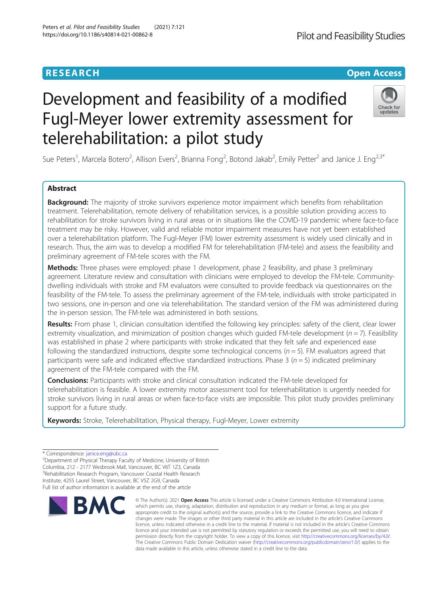# Development and feasibility of a modified Fugl-Meyer lower extremity assessment for telerehabilitation: a pilot study

Sue Peters<sup>1</sup>, Marcela Botero<sup>2</sup>, Allison Evers<sup>2</sup>, Brianna Fong<sup>2</sup>, Botond Jakab<sup>2</sup>, Emily Petter<sup>2</sup> and Janice J. Eng<sup>2,3\*</sup>

## Abstract

**Background:** The majority of stroke survivors experience motor impairment which benefits from rehabilitation treatment. Telerehabilitation, remote delivery of rehabilitation services, is a possible solution providing access to rehabilitation for stroke survivors living in rural areas or in situations like the COVID-19 pandemic where face-to-face treatment may be risky. However, valid and reliable motor impairment measures have not yet been established over a telerehabilitation platform. The Fugl-Meyer (FM) lower extremity assessment is widely used clinically and in research. Thus, the aim was to develop a modified FM for telerehabilitation (FM-tele) and assess the feasibility and preliminary agreement of FM-tele scores with the FM.

Methods: Three phases were employed: phase 1 development, phase 2 feasibility, and phase 3 preliminary agreement. Literature review and consultation with clinicians were employed to develop the FM-tele. Communitydwelling individuals with stroke and FM evaluators were consulted to provide feedback via questionnaires on the feasibility of the FM-tele. To assess the preliminary agreement of the FM-tele, individuals with stroke participated in two sessions, one in-person and one via telerehabilitation. The standard version of the FM was administered during the in-person session. The FM-tele was administered in both sessions.

Results: From phase 1, clinician consultation identified the following key principles: safety of the client, clear lower extremity visualization, and minimization of position changes which quided FM-tele development ( $n = 7$ ). Feasibility was established in phase 2 where participants with stroke indicated that they felt safe and experienced ease following the standardized instructions, despite some technological concerns  $(n = 5)$ . FM evaluators agreed that participants were safe and indicated effective standardized instructions. Phase 3 ( $n = 5$ ) indicated preliminary agreement of the FM-tele compared with the FM.

**Conclusions:** Participants with stroke and clinical consultation indicated the FM-tele developed for telerehabilitation is feasible. A lower extremity motor assessment tool for telerehabilitation is urgently needed for stroke survivors living in rural areas or when face-to-face visits are impossible. This pilot study provides preliminary support for a future study.

Keywords: Stroke, Telerehabilitation, Physical therapy, Fugl-Meyer, Lower extremity

<sup>2</sup>Department of Physical Therapy Faculty of Medicine, University of British Columbia, 212 - 2177 Wesbrook Mall, Vancouver, BC V6T 1Z3, Canada <sup>3</sup> Rehabilitation Research Program, Vancouver Coastal Health Research Institute, 4255 Laurel Street, Vancouver, BC V5Z 2G9, Canada Full list of author information is available at the end of the article

**RMC** 





## **RESEARCH CHINESE ARCH CHINESE ARCHITECT ARCHITECT ARCHITECT ARCHITECT ARCHITECT ARCHITECT ARCHITECT ARCHITECT ARCHITECT ARCHITECT ARCHITECT ARCHITECT ARCHITECT ARCHITECT ARCHITECT ARCHITECT ARCHITECT ARCHITECT ARCHITE**

<sup>\*</sup> Correspondence: [janice.eng@ubc.ca](mailto:janice.eng@ubc.ca) <sup>2</sup>

<sup>©</sup> The Author(s), 2021 **Open Access** This article is licensed under a Creative Commons Attribution 4.0 International License, which permits use, sharing, adaptation, distribution and reproduction in any medium or format, as long as you give appropriate credit to the original author(s) and the source, provide a link to the Creative Commons licence, and indicate if changes were made. The images or other third party material in this article are included in the article's Creative Commons licence, unless indicated otherwise in a credit line to the material. If material is not included in the article's Creative Commons licence and your intended use is not permitted by statutory regulation or exceeds the permitted use, you will need to obtain permission directly from the copyright holder. To view a copy of this licence, visit [http://creativecommons.org/licenses/by/4.0/.](http://creativecommons.org/licenses/by/4.0/) The Creative Commons Public Domain Dedication waiver [\(http://creativecommons.org/publicdomain/zero/1.0/](http://creativecommons.org/publicdomain/zero/1.0/)) applies to the data made available in this article, unless otherwise stated in a credit line to the data.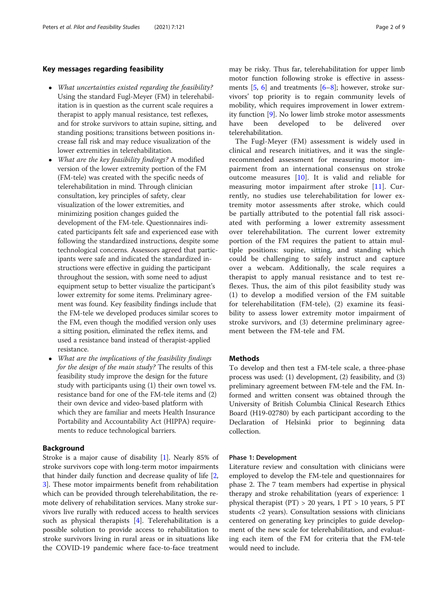#### Key messages regarding feasibility

- What uncertainties existed regarding the feasibility? Using the standard Fugl-Meyer (FM) in telerehabilitation is in question as the current scale requires a therapist to apply manual resistance, test reflexes, and for stroke survivors to attain supine, sitting, and standing positions; transitions between positions increase fall risk and may reduce visualization of the lower extremities in telerehabilitation.
- What are the key feasibility findings? A modified version of the lower extremity portion of the FM (FM-tele) was created with the specific needs of telerehabilitation in mind. Through clinician consultation, key principles of safety, clear visualization of the lower extremities, and minimizing position changes guided the development of the FM-tele. Questionnaires indicated participants felt safe and experienced ease with following the standardized instructions, despite some technological concerns. Assessors agreed that participants were safe and indicated the standardized instructions were effective in guiding the participant throughout the session, with some need to adjust equipment setup to better visualize the participant's lower extremity for some items. Preliminary agreement was found. Key feasibility findings include that the FM-tele we developed produces similar scores to the FM, even though the modified version only uses a sitting position, eliminated the reflex items, and used a resistance band instead of therapist-applied resistance.
- What are the implications of the feasibility findings for the design of the main study? The results of this feasibility study improve the design for the future study with participants using (1) their own towel vs. resistance band for one of the FM-tele items and (2) their own device and video-based platform with which they are familiar and meets Health Insurance Portability and Accountability Act (HIPPA) requirements to reduce technological barriers.

#### Background

Stroke is a major cause of disability [\[1](#page-8-0)]. Nearly 85% of stroke survivors cope with long-term motor impairments that hinder daily function and decrease quality of life [\[2](#page-8-0), [3\]](#page-8-0). These motor impairments benefit from rehabilitation which can be provided through telerehabilitation, the remote delivery of rehabilitation services. Many stroke survivors live rurally with reduced access to health services such as physical therapists  $[4]$  $[4]$ . Telerehabilitation is a possible solution to provide access to rehabilitation to stroke survivors living in rural areas or in situations like the COVID-19 pandemic where face-to-face treatment

may be risky. Thus far, telerehabilitation for upper limb motor function following stroke is effective in assessments [[5](#page-8-0), [6](#page-8-0)] and treatments [[6](#page-8-0)–[8](#page-8-0)]; however, stroke survivors' top priority is to regain community levels of mobility, which requires improvement in lower extremity function [\[9](#page-8-0)]. No lower limb stroke motor assessments have been developed to be delivered over telerehabilitation.

The Fugl-Meyer (FM) assessment is widely used in clinical and research initiatives, and it was the singlerecommended assessment for measuring motor impairment from an international consensus on stroke outcome measures [\[10](#page-8-0)]. It is valid and reliable for measuring motor impairment after stroke [[11](#page-8-0)]. Currently, no studies use telerehabilitation for lower extremity motor assessments after stroke, which could be partially attributed to the potential fall risk associated with performing a lower extremity assessment over telerehabilitation. The current lower extremity portion of the FM requires the patient to attain multiple positions: supine, sitting, and standing which could be challenging to safely instruct and capture over a webcam. Additionally, the scale requires a therapist to apply manual resistance and to test reflexes. Thus, the aim of this pilot feasibility study was (1) to develop a modified version of the FM suitable for telerehabilitation (FM-tele), (2) examine its feasibility to assess lower extremity motor impairment of stroke survivors, and (3) determine preliminary agreement between the FM-tele and FM.

#### Methods

To develop and then test a FM-tele scale, a three-phase process was used: (1) development, (2) feasibility, and (3) preliminary agreement between FM-tele and the FM. Informed and written consent was obtained through the University of British Columbia Clinical Research Ethics Board (H19-02780) by each participant according to the Declaration of Helsinki prior to beginning data collection.

#### Phase 1: Development

Literature review and consultation with clinicians were employed to develop the FM-tele and questionnaires for phase 2. The 7 team members had expertise in physical therapy and stroke rehabilitation (years of experience: 1 physical therapist  $(PT) > 20$  years, 1 PT  $> 10$  years, 5 PT students <2 years). Consultation sessions with clinicians centered on generating key principles to guide development of the new scale for telerehabilitation, and evaluating each item of the FM for criteria that the FM-tele would need to include.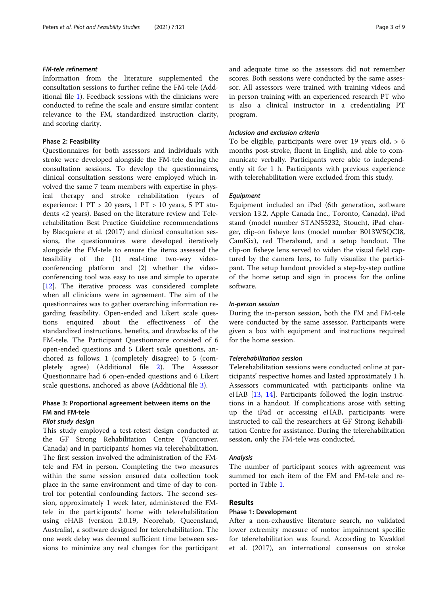#### FM-tele refinement

Information from the literature supplemented the consultation sessions to further refine the FM-tele (Additional file [1](#page-8-0)). Feedback sessions with the clinicians were conducted to refine the scale and ensure similar content relevance to the FM, standardized instruction clarity, and scoring clarity.

#### Phase 2: Feasibility

Questionnaires for both assessors and individuals with stroke were developed alongside the FM-tele during the consultation sessions. To develop the questionnaires, clinical consultation sessions were employed which involved the same 7 team members with expertise in physical therapy and stroke rehabilitation (years of experience: 1 PT > 20 years, 1 PT > 10 years, 5 PT students <2 years). Based on the literature review and Telerehabilitation Best Practice Guideline recommendations by Blacquiere et al. (2017) and clinical consultation sessions, the questionnaires were developed iteratively alongside the FM-tele to ensure the items assessed the feasibility of the (1) real-time two-way videoconferencing platform and (2) whether the videoconferencing tool was easy to use and simple to operate [[12\]](#page-8-0). The iterative process was considered complete when all clinicians were in agreement. The aim of the questionnaires was to gather overarching information regarding feasibility. Open-ended and Likert scale questions enquired about the effectiveness of the standardized instructions, benefits, and drawbacks of the FM-tele. The Participant Questionnaire consisted of 6 open-ended questions and 5 Likert scale questions, anchored as follows: 1 (completely disagree) to 5 (completely agree) (Additional file [2](#page-8-0)). The Assessor Questionnaire had 6 open-ended questions and 6 Likert scale questions, anchored as above (Additional file [3\)](#page-8-0).

### Phase 3: Proportional agreement between items on the FM and FM-tele

#### Pilot study design

This study employed a test-retest design conducted at the GF Strong Rehabilitation Centre (Vancouver, Canada) and in participants' homes via telerehabilitation. The first session involved the administration of the FMtele and FM in person. Completing the two measures within the same session ensured data collection took place in the same environment and time of day to control for potential confounding factors. The second session, approximately 1 week later, administered the FMtele in the participants' home with telerehabilitation using eHAB (version 2.0.19, Neorehab, Queensland, Australia), a software designed for telerehabilitation. The one week delay was deemed sufficient time between sessions to minimize any real changes for the participant and adequate time so the assessors did not remember scores. Both sessions were conducted by the same assessor. All assessors were trained with training videos and in person training with an experienced research PT who is also a clinical instructor in a credentialing PT program.

#### Inclusion and exclusion criteria

To be eligible, participants were over 19 years old,  $> 6$ months post-stroke, fluent in English, and able to communicate verbally. Participants were able to independently sit for 1 h. Participants with previous experience with telerehabilitation were excluded from this study.

#### **Equipment**

Equipment included an iPad (6th generation, software version 13.2, Apple Canada Inc., Toronto, Canada), iPad stand (model number STAN55232, Stouch), iPad charger, clip-on fisheye lens (model number B013W5QCI8, CamKix), red Theraband, and a setup handout. The clip-on fisheye lens served to widen the visual field captured by the camera lens, to fully visualize the participant. The setup handout provided a step-by-step outline of the home setup and sign in process for the online software.

#### In-person session

During the in-person session, both the FM and FM-tele were conducted by the same assessor. Participants were given a box with equipment and instructions required for the home session.

#### Telerehabilitation session

Telerehabilitation sessions were conducted online at participants' respective homes and lasted approximately 1 h. Assessors communicated with participants online via eHAB [\[13,](#page-8-0) [14](#page-8-0)]. Participants followed the login instructions in a handout. If complications arose with setting up the iPad or accessing eHAB, participants were instructed to call the researchers at GF Strong Rehabilitation Centre for assistance. During the telerehabilitation session, only the FM-tele was conducted.

#### Analysis

The number of participant scores with agreement was summed for each item of the FM and FM-tele and reported in Table [1](#page-3-0).

#### Results

#### Phase 1: Development

After a non-exhaustive literature search, no validated lower extremity measure of motor impairment specific for telerehabilitation was found. According to Kwakkel et al. (2017), an international consensus on stroke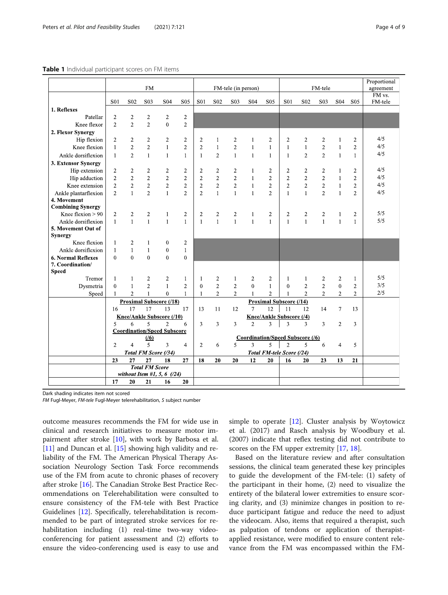#### <span id="page-3-0"></span>Table 1 Individual participant scores on FM items

|                                         | <b>FM</b>                                                 |                                |                                | FM-tele (in person)            |                                         |                         |                                  | FM tele                          |                          |                                |                                                                  | Proportional<br>agreement<br>FM vs. |                                  |                                |                                  |         |
|-----------------------------------------|-----------------------------------------------------------|--------------------------------|--------------------------------|--------------------------------|-----------------------------------------|-------------------------|----------------------------------|----------------------------------|--------------------------|--------------------------------|------------------------------------------------------------------|-------------------------------------|----------------------------------|--------------------------------|----------------------------------|---------|
|                                         | S <sub>0</sub> 1                                          | S <sub>02</sub>                | S <sub>03</sub>                | S <sub>04</sub>                | S <sub>05</sub>                         | <b>S01</b>              | S <sub>02</sub>                  | S <sub>0</sub> 3                 | S <sub>04</sub>          | S <sub>05</sub>                | S <sub>0</sub> 1                                                 | S <sub>02</sub>                     | S <sub>0</sub> 3                 | <b>S04</b>                     | S <sub>05</sub>                  | FM-tele |
| 1. Reflexes                             |                                                           |                                |                                |                                |                                         |                         |                                  |                                  |                          |                                |                                                                  |                                     |                                  |                                |                                  |         |
| Patellar                                | $\overline{2}$                                            | $\overline{c}$                 | $\boldsymbol{2}$               | $\overline{c}$                 | $\overline{c}$                          |                         |                                  |                                  |                          |                                |                                                                  |                                     |                                  |                                |                                  |         |
| Knee flexor                             | $\overline{2}$                                            | $\overline{2}$                 | $\overline{2}$                 | $\Omega$                       | $\overline{2}$                          |                         |                                  |                                  |                          |                                |                                                                  |                                     |                                  |                                |                                  |         |
| 2. Flexor Synergy                       |                                                           |                                |                                |                                |                                         |                         |                                  |                                  |                          |                                |                                                                  |                                     |                                  |                                |                                  |         |
| Hip flexion                             | $\overline{2}$                                            | $\overline{c}$                 | $\overline{2}$                 | $\overline{c}$                 | $\overline{c}$                          | $\overline{2}$          | 1                                | $\overline{2}$                   | 1                        | 2                              | $\overline{2}$                                                   | $\overline{2}$                      | $\overline{2}$                   | 1                              | 2                                | 4/5     |
| Knee flexion                            | $\mathbf{1}$                                              | $\overline{c}$                 | $\overline{c}$                 | $\mathbf{1}$                   | $\overline{2}$                          | $\overline{2}$          | 1                                | $\overline{2}$                   | $\mathbf{1}$             | $\mathbf{1}$                   | $\mathbf{1}$                                                     | $\mathbf{1}$                        | $\overline{2}$                   | $\mathbf{1}$                   | $\overline{2}$                   | 4/5     |
| Ankle dorsiflexion                      | $\mathbf{1}$                                              | $\overline{2}$                 | $\mathbf{1}$                   | $\mathbf{1}$                   | $\mathbf{1}$                            | $\mathbf{1}$            | $\overline{2}$                   | $\mathbf{1}$                     | $\mathbf{1}$             | 1                              | $\mathbf{1}$                                                     | $\overline{2}$                      | $\overline{2}$                   | $\mathbf{1}$                   | $\mathbf{1}$                     | 4/5     |
| 3. Extensor Synergy                     |                                                           |                                |                                |                                |                                         |                         |                                  |                                  |                          |                                |                                                                  |                                     |                                  |                                |                                  |         |
| Hip extension                           | $\overline{2}$                                            | $\overline{2}$                 | $\overline{2}$                 | $\overline{2}$                 | $\overline{2}$                          | $\overline{2}$          | $\overline{2}$                   | $\overline{2}$                   | $\mathbf{1}$             | $\overline{2}$                 | $\overline{2}$                                                   | $\overline{2}$                      | $\overline{2}$                   | $\mathbf{1}$                   | $\overline{2}$                   | 4/5     |
| Hip adduction                           | $\overline{c}$                                            | $\overline{2}$                 | $\overline{2}$                 | $\overline{2}$                 | $\overline{2}$                          | $\overline{2}$          | $\overline{2}$                   | $\overline{2}$                   | $\mathbf{1}$             | $\overline{2}$                 | $\overline{2}$                                                   | $\overline{2}$                      | $\overline{2}$                   | $\mathbf{1}$                   | $\overline{2}$                   | 4/5     |
| Knee extension                          | $\overline{2}$                                            | $\overline{2}$                 | $\overline{2}$                 | $\overline{2}$                 | $\overline{2}$                          | $\overline{2}$          | $\overline{2}$                   | $\overline{2}$                   | $\mathbf{1}$             | $\overline{2}$                 | $\overline{2}$                                                   | $\overline{2}$                      | $\overline{2}$                   | $\mathbf{1}$                   | $\overline{c}$                   | 4/5     |
| Ankle plantarflexion                    | $\overline{2}$                                            | $\mathbf{1}$                   | $\overline{2}$                 | $\mathbf{1}$                   | $\overline{2}$                          | $\overline{2}$          | $\mathbf{1}$                     | $\mathbf{1}$                     | $\mathbf{1}$             | $\overline{2}$                 | $\mathbf{1}$                                                     | $\mathbf{1}$                        | $\overline{2}$                   | $\mathbf{1}$                   | $\overline{2}$                   | 4/5     |
| 4. Movement<br><b>Combining Synergy</b> |                                                           |                                |                                |                                |                                         |                         |                                  |                                  |                          |                                |                                                                  |                                     |                                  |                                |                                  |         |
| Knee flexion $> 90$                     | $\overline{2}$                                            | $\overline{c}$                 | $\overline{c}$                 | $\mathbf{1}$                   | $\overline{c}$                          | $\overline{\mathbf{c}}$ | 2                                | $\overline{c}$                   | $\mathbf{1}$             | 2                              | $\overline{c}$                                                   | $\overline{\mathbf{c}}$             | $\overline{\mathbf{c}}$          | 1                              | 2                                | 5/5     |
| Ankle dorsiflexion                      | $\mathbf{1}$                                              | $\mathbf{1}$                   | $\mathbf{1}$                   | $\mathbf{1}$                   | $\mathbf{1}$                            | $\mathbf{1}$            | $\mathbf{1}$                     | $\mathbf{1}$                     | $\mathbf{1}$             | $\mathbf{1}$                   | $\mathbf{1}$                                                     | $\mathbf{1}$                        | $\mathbf{1}$                     | $\mathbf{1}$                   | $\mathbf{1}$                     | 5/5     |
| 5. Movement Out of<br><b>Synergy</b>    |                                                           |                                |                                |                                |                                         |                         |                                  |                                  |                          |                                |                                                                  |                                     |                                  |                                |                                  |         |
| Knee flexion                            | 1                                                         | $\overline{c}$                 | 1                              | $\mathbf{0}$                   | $\overline{2}$                          |                         |                                  |                                  |                          |                                |                                                                  |                                     |                                  |                                |                                  |         |
| Ankle dorsiflexion                      | $\mathbf{1}$                                              | $\mathbf{1}$                   | $\mathbf{1}$                   | $\mathbf{0}$                   | $\mathbf{1}$                            |                         |                                  |                                  |                          |                                |                                                                  |                                     |                                  |                                |                                  |         |
| <b>6. Normal Reflexes</b>               | $\theta$                                                  | $\overline{0}$                 | $\theta$                       | $\theta$                       | $\theta$                                |                         |                                  |                                  |                          |                                |                                                                  |                                     |                                  |                                |                                  |         |
| 7. Coordination/                        |                                                           |                                |                                |                                |                                         |                         |                                  |                                  |                          |                                |                                                                  |                                     |                                  |                                |                                  |         |
| <b>Speed</b>                            |                                                           |                                |                                |                                |                                         |                         |                                  |                                  |                          |                                |                                                                  |                                     |                                  |                                |                                  | 5/5     |
| Tremor                                  | $\mathbf{1}$                                              | $\mathbf{1}$                   | $\overline{2}$                 | $\overline{2}$                 | $\mathbf{1}$                            | $\mathbf{1}$            | $\overline{2}$                   | $\mathbf{1}$                     | $\overline{c}$           | $\overline{c}$                 | $\mathbf{1}$                                                     | $\mathbf{1}$                        | $\sqrt{2}$                       | $\overline{2}$                 | $\mathbf{1}$                     | 3/5     |
| Dysmetria                               | $\theta$                                                  | $\mathbf{1}$<br>$\overline{2}$ | $\overline{2}$<br>$\mathbf{1}$ | $\mathbf{1}$<br>$\theta$       | $\overline{2}$<br>$\mathbf{1}$          | $\theta$                | $\overline{2}$<br>$\overline{2}$ | $\overline{2}$<br>$\overline{2}$ | $\theta$<br>$\mathbf{1}$ | $\mathbf{1}$<br>$\overline{2}$ | $\theta$                                                         | $\overline{2}$<br>$\overline{2}$    | $\overline{2}$<br>$\overline{2}$ | $\mathbf{0}$<br>$\overline{2}$ | $\overline{c}$<br>$\overline{2}$ | 2/5     |
| Speed                                   | $\mathbf{1}$                                              |                                |                                | <b>Proximal Subscore (/18)</b> |                                         | $\mathbf{1}$            |                                  |                                  |                          |                                | 1                                                                |                                     |                                  |                                |                                  |         |
|                                         | 16                                                        | 17                             | 17                             | 13                             | 17                                      | 13                      | 11                               | 12                               | 7                        | 12                             | <b>Proximal Subscore (/14)</b><br>11<br>12<br>14<br>$\tau$<br>13 |                                     |                                  |                                |                                  |         |
|                                         | Knee/Ankle Subscore (/10)                                 |                                |                                |                                |                                         |                         |                                  |                                  | Knee/Ankle Subscore (/4) |                                |                                                                  |                                     |                                  |                                |                                  |         |
|                                         | $\overline{\phantom{0}}$<br>$\mathfrak{D}$<br>5<br>6<br>6 |                                |                                |                                | 3                                       | 3                       | $\overline{3}$                   | $\overline{2}$                   | 3                        | 3                              | 3                                                                | 3                                   | $\overline{2}$                   | 3                              |                                  |         |
|                                         | <b>Coordination/Speed Subscore</b>                        |                                |                                |                                |                                         |                         |                                  |                                  |                          |                                |                                                                  |                                     |                                  |                                |                                  |         |
|                                         | (16)                                                      |                                |                                |                                | <b>Coordination/Speed Subscore (/6)</b> |                         |                                  |                                  |                          |                                |                                                                  |                                     |                                  |                                |                                  |         |
|                                         | $\overline{2}$                                            | $\overline{4}$                 | 5                              | 3                              | $\overline{4}$                          | $\overline{2}$          | 6                                | 5                                | 3                        | 5                              | $\overline{2}$                                                   | 5                                   | 6                                | $\overline{4}$                 | 5                                |         |
|                                         | Total FM Score (/34)<br>Total FM-tele Score (/24)         |                                |                                |                                |                                         |                         |                                  |                                  |                          |                                |                                                                  |                                     |                                  |                                |                                  |         |
|                                         | 23                                                        | 27                             | 27                             | 18                             | 27                                      | 18                      | 20                               | 20                               | 12                       | 20                             | 16                                                               | 20                                  | 23                               | 13                             | 21                               |         |
|                                         | <b>Total FM Score</b><br>without Item #1, 5, 6 $(24)$     |                                |                                |                                |                                         |                         |                                  |                                  |                          |                                |                                                                  |                                     |                                  |                                |                                  |         |
|                                         |                                                           |                                |                                |                                |                                         |                         |                                  |                                  |                          |                                |                                                                  |                                     |                                  |                                |                                  |         |
|                                         | 17                                                        | 20                             | 21                             | 16                             | 20                                      |                         |                                  |                                  |                          |                                |                                                                  |                                     |                                  |                                |                                  |         |

Dark shading indicates item not scored

FM Fugl-Meyer, FM-tele Fugl-Meyer telerehabilitation, S subject number

outcome measures recommends the FM for wide use in clinical and research initiatives to measure motor impairment after stroke [\[10\]](#page-8-0), with work by Barbosa et al. [[11\]](#page-8-0) and Duncan et al. [[15\]](#page-8-0) showing high validity and reliability of the FM. The American Physical Therapy Association Neurology Section Task Force recommends use of the FM from acute to chronic phases of recovery after stroke [\[16\]](#page-8-0). The Canadian Stroke Best Practice Recommendations on Telerehabilitation were consulted to ensure consistency of the FM-tele with Best Practice Guidelines [\[12](#page-8-0)]. Specifically, telerehabilitation is recommended to be part of integrated stroke services for rehabilitation including (1) real-time two-way videoconferencing for patient assessment and (2) efforts to ensure the video-conferencing used is easy to use and simple to operate [[12\]](#page-8-0). Cluster analysis by Woytowicz et al. (2017) and Rasch analysis by Woodbury et al. (2007) indicate that reflex testing did not contribute to scores on the FM upper extremity [[17,](#page-8-0) [18\]](#page-8-0).

Based on the literature review and after consultation sessions, the clinical team generated these key principles to guide the development of the FM-tele: (1) safety of the participant in their home, (2) need to visualize the entirety of the bilateral lower extremities to ensure scoring clarity, and (3) minimize changes in position to reduce participant fatigue and reduce the need to adjust the videocam. Also, items that required a therapist, such as palpation of tendons or application of therapistapplied resistance, were modified to ensure content relevance from the FM was encompassed within the FM-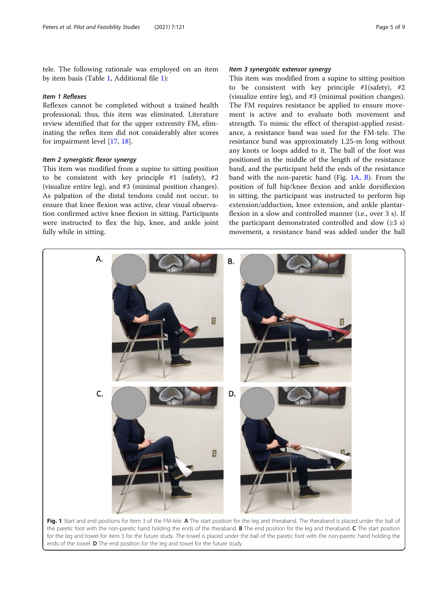<span id="page-4-0"></span>tele. The following rationale was employed on an item by item basis (Table [1](#page-3-0), Additional file [1](#page-8-0)):

#### Item 1 Reflexes

Reflexes cannot be completed without a trained health professional; thus, this item was eliminated. Literature review identified that for the upper extremity FM, eliminating the reflex item did not considerably alter scores for impairment level [\[17](#page-8-0), [18](#page-8-0)].

#### Item 2 synergistic flexor synergy

This item was modified from a supine to sitting position to be consistent with key principle  $#1$  (safety),  $#2$ (visualize entire leg), and #3 (minimal position changes). As palpation of the distal tendons could not occur, to ensure that knee flexion was active, clear visual observation confirmed active knee flexion in sitting. Participants were instructed to flex the hip, knee, and ankle joint fully while in sitting.

#### Item 3 synergistic extensor synergy

This item was modified from a supine to sitting position to be consistent with key principle #1(safety), #2 (visualize entire leg), and #3 (minimal position changes). The FM requires resistance be applied to ensure movement is active and to evaluate both movement and strength. To mimic the effect of therapist-applied resistance, a resistance band was used for the FM-tele. The resistance band was approximately 1.25-m long without any knots or loops added to it. The ball of the foot was positioned in the middle of the length of the resistance band, and the participant held the ends of the resistance band with the non-paretic hand (Fig. 1A, B). From the position of full hip/knee flexion and ankle dorsiflexion in sitting, the participant was instructed to perform hip extension/adduction, knee extension, and ankle plantarflexion in a slow and controlled manner (i.e., over 3 s). If the participant demonstrated controlled and slow  $(≥3 s)$ movement, a resistance band was added under the ball



the paretic foot with the non-paretic hand holding the ends of the theraband. B The end position for the leg and theraband. C The start position for the leg and towel for item 3 for the future study. The towel is placed under the ball of the paretic foot with the non-paretic hand holding the ends of the towel. **D** The end position for the leg and towel for the future study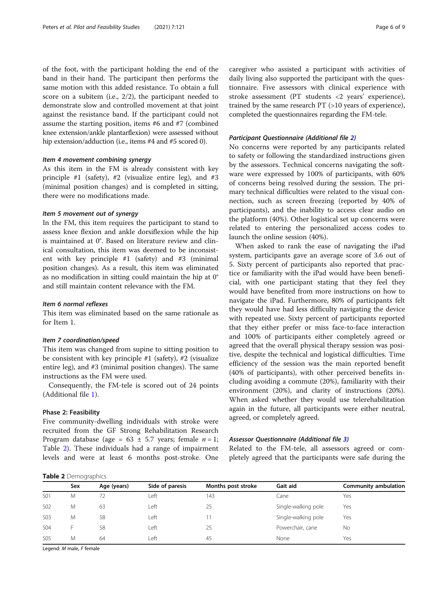of the foot, with the participant holding the end of the band in their hand. The participant then performs the same motion with this added resistance. To obtain a full score on a subitem (i.e., 2/2), the participant needed to demonstrate slow and controlled movement at that joint against the resistance band. If the participant could not assume the starting position, items #6 and #7 (combined knee extension/ankle plantarflexion) were assessed without hip extension/adduction (i.e., items #4 and #5 scored 0).

#### Item 4 movement combining synergy

As this item in the FM is already consistent with key principle #1 (safety), #2 (visualize entire leg), and #3 (minimal position changes) and is completed in sitting, there were no modifications made.

#### Item 5 movement out of synergy

In the FM, this item requires the participant to stand to assess knee flexion and ankle dorsiflexion while the hip is maintained at 0°. Based on literature review and clinical consultation, this item was deemed to be inconsistent with key principle #1 (safety) and #3 (minimal position changes). As a result, this item was eliminated as no modification in sitting could maintain the hip at 0° and still maintain content relevance with the FM.

#### Item 6 normal reflexes

This item was eliminated based on the same rationale as for Item 1.

#### Item 7 coordination/speed

This item was changed from supine to sitting position to be consistent with key principle #1 (safety), #2 (visualize entire leg), and #3 (minimal position changes). The same instructions as the FM were used.

Consequently, the FM-tele is scored out of 24 points (Additional file [1](#page-8-0)).

#### Phase 2: Feasibility

Five community-dwelling individuals with stroke were recruited from the GF Strong Rehabilitation Research Program database (age =  $63 \pm 5.7$  years; female  $n = 1$ ; Table 2). These individuals had a range of impairment levels and were at least 6 months post-stroke. One

caregiver who assisted a participant with activities of daily living also supported the participant with the questionnaire. Five assessors with clinical experience with stroke assessment (PT students <2 years' experience), trained by the same research PT (>10 years of experience), completed the questionnaires regarding the FM-tele.

#### Participant Questionnaire (Additional file [2\)](#page-8-0)

No concerns were reported by any participants related to safety or following the standardized instructions given by the assessors. Technical concerns navigating the software were expressed by 100% of participants, with 60% of concerns being resolved during the session. The primary technical difficulties were related to the visual connection, such as screen freezing (reported by 40% of participants), and the inability to access clear audio on the platform (40%). Other logistical set up concerns were related to entering the personalized access codes to launch the online session (40%).

When asked to rank the ease of navigating the iPad system, participants gave an average score of 3.6 out of 5. Sixty percent of participants also reported that practice or familiarity with the iPad would have been beneficial, with one participant stating that they feel they would have benefited from more instructions on how to navigate the iPad. Furthermore, 80% of participants felt they would have had less difficulty navigating the device with repeated use. Sixty percent of participants reported that they either prefer or miss face-to-face interaction and 100% of participants either completely agreed or agreed that the overall physical therapy session was positive, despite the technical and logistical difficulties. Time efficiency of the session was the main reported benefit (40% of participants), with other perceived benefits including avoiding a commute (20%), familiarity with their environment (20%), and clarity of instructions (20%). When asked whether they would use telerehabilitation again in the future, all participants were either neutral, agreed, or completely agreed.

#### Assessor Questionnaire (Additional file [3](#page-8-0))

Related to the FM-tele, all assessors agreed or completely agreed that the participants were safe during the

|  | Table 2 Demographics |  |
|--|----------------------|--|
|  |                      |  |

| Sex              |   | Age (years) | Side of paresis | Months post stroke | Gait aid            | Community ambulation |  |  |  |  |
|------------------|---|-------------|-----------------|--------------------|---------------------|----------------------|--|--|--|--|
| S01              | M | 72          | Left            | 143                | Cane                | Yes                  |  |  |  |  |
| <b>SO2</b>       | M | 63          | Left            | 25                 | Single-walking pole | Yes                  |  |  |  |  |
| S <sub>0</sub> 3 | M | 58          | Left            |                    | Single-walking pole | Yes                  |  |  |  |  |
| S04              |   | 58          | Left            | 25                 | Powerchair, cane    | No                   |  |  |  |  |
| S <sub>05</sub>  | M | 64          | Left            | 45                 | None                | Yes                  |  |  |  |  |
|                  |   |             |                 |                    |                     |                      |  |  |  |  |

Legend: M male, F female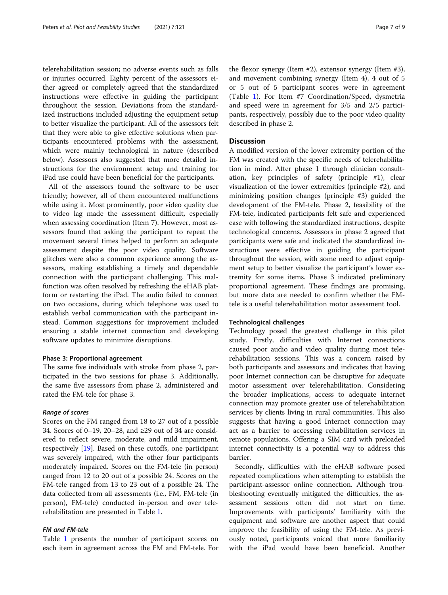telerehabilitation session; no adverse events such as falls or injuries occurred. Eighty percent of the assessors either agreed or completely agreed that the standardized instructions were effective in guiding the participant throughout the session. Deviations from the standardized instructions included adjusting the equipment setup to better visualize the participant. All of the assessors felt that they were able to give effective solutions when participants encountered problems with the assessment, which were mainly technological in nature (described below). Assessors also suggested that more detailed instructions for the environment setup and training for iPad use could have been beneficial for the participants.

All of the assessors found the software to be user friendly; however, all of them encountered malfunctions while using it. Most prominently, poor video quality due to video lag made the assessment difficult, especially when assessing coordination (Item 7). However, most assessors found that asking the participant to repeat the movement several times helped to perform an adequate assessment despite the poor video quality. Software glitches were also a common experience among the assessors, making establishing a timely and dependable connection with the participant challenging. This malfunction was often resolved by refreshing the eHAB platform or restarting the iPad. The audio failed to connect on two occasions, during which telephone was used to establish verbal communication with the participant instead. Common suggestions for improvement included ensuring a stable internet connection and developing software updates to minimize disruptions.

#### Phase 3: Proportional agreement

The same five individuals with stroke from phase 2, participated in the two sessions for phase 3. Additionally, the same five assessors from phase 2, administered and rated the FM-tele for phase 3.

#### Range of scores

Scores on the FM ranged from 18 to 27 out of a possible 34. Scores of 0–19, 20–28, and ≥29 out of 34 are considered to reflect severe, moderate, and mild impairment, respectively [[19\]](#page-8-0). Based on these cutoffs, one participant was severely impaired, with the other four participants moderately impaired. Scores on the FM-tele (in person) ranged from 12 to 20 out of a possible 24. Scores on the FM-tele ranged from 13 to 23 out of a possible 24. The data collected from all assessments (i.e., FM, FM-tele (in person), FM-tele) conducted in-person and over telerehabilitation are presented in Table [1.](#page-3-0)

#### FM and FM-tele

Table [1](#page-3-0) presents the number of participant scores on each item in agreement across the FM and FM-tele. For the flexor synergy (Item #2), extensor synergy (Item #3), and movement combining synergy (Item 4), 4 out of 5 or 5 out of 5 participant scores were in agreement (Table [1\)](#page-3-0). For Item #7 Coordination/Speed, dysmetria and speed were in agreement for 3/5 and 2/5 participants, respectively, possibly due to the poor video quality described in phase 2.

### **Discussion**

A modified version of the lower extremity portion of the FM was created with the specific needs of telerehabilitation in mind. After phase 1 through clinician consultation, key principles of safety (principle #1), clear visualization of the lower extremities (principle #2), and minimizing position changes (principle #3) guided the development of the FM-tele. Phase 2, feasibility of the FM-tele, indicated participants felt safe and experienced ease with following the standardized instructions, despite technological concerns. Assessors in phase 2 agreed that participants were safe and indicated the standardized instructions were effective in guiding the participant throughout the session, with some need to adjust equipment setup to better visualize the participant's lower extremity for some items. Phase 3 indicated preliminary proportional agreement. These findings are promising, but more data are needed to confirm whether the FMtele is a useful telerehabilitation motor assessment tool.

#### Technological challenges

Technology posed the greatest challenge in this pilot study. Firstly, difficulties with Internet connections caused poor audio and video quality during most telerehabilitation sessions. This was a concern raised by both participants and assessors and indicates that having poor Internet connection can be disruptive for adequate motor assessment over telerehabilitation. Considering the broader implications, access to adequate internet connection may promote greater use of telerehabilitation services by clients living in rural communities. This also suggests that having a good Internet connection may act as a barrier to accessing rehabilitation services in remote populations. Offering a SIM card with preloaded internet connectivity is a potential way to address this barrier.

Secondly, difficulties with the eHAB software posed repeated complications when attempting to establish the participant-assessor online connection. Although troubleshooting eventually mitigated the difficulties, the assessment sessions often did not start on time. Improvements with participants' familiarity with the equipment and software are another aspect that could improve the feasibility of using the FM-tele. As previously noted, participants voiced that more familiarity with the iPad would have been beneficial. Another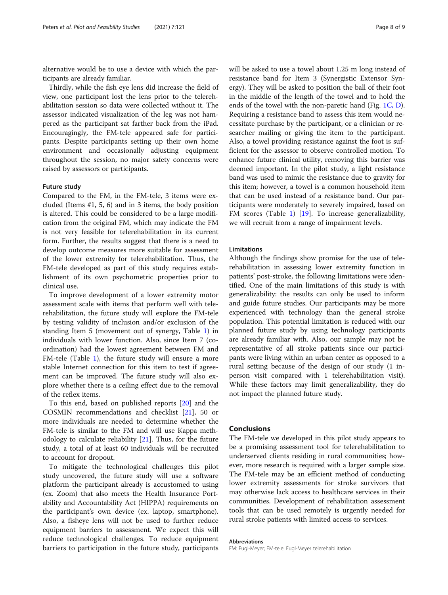alternative would be to use a device with which the participants are already familiar.

Thirdly, while the fish eye lens did increase the field of view, one participant lost the lens prior to the telerehabilitation session so data were collected without it. The assessor indicated visualization of the leg was not hampered as the participant sat farther back from the iPad. Encouragingly, the FM-tele appeared safe for participants. Despite participants setting up their own home environment and occasionally adjusting equipment throughout the session, no major safety concerns were raised by assessors or participants.

#### Future study

Compared to the FM, in the FM-tele, 3 items were excluded (Items #1, 5, 6) and in 3 items, the body position is altered. This could be considered to be a large modification from the original FM, which may indicate the FM is not very feasible for telerehabilitation in its current form. Further, the results suggest that there is a need to develop outcome measures more suitable for assessment of the lower extremity for telerehabilitation. Thus, the FM-tele developed as part of this study requires establishment of its own psychometric properties prior to clinical use.

To improve development of a lower extremity motor assessment scale with items that perform well with telerehabilitation, the future study will explore the FM-tele by testing validity of inclusion and/or exclusion of the standing Item 5 (movement out of synergy, Table [1](#page-3-0)) in individuals with lower function. Also, since Item 7 (coordination) had the lowest agreement between FM and FM-tele (Table [1\)](#page-3-0), the future study will ensure a more stable Internet connection for this item to test if agreement can be improved. The future study will also explore whether there is a ceiling effect due to the removal of the reflex items.

To this end, based on published reports [[20](#page-8-0)] and the COSMIN recommendations and checklist [[21](#page-8-0)], 50 or more individuals are needed to determine whether the FM-tele is similar to the FM and will use Kappa methodology to calculate reliability [\[21](#page-8-0)]. Thus, for the future study, a total of at least 60 individuals will be recruited to account for dropout.

To mitigate the technological challenges this pilot study uncovered, the future study will use a software platform the participant already is accustomed to using (ex. Zoom) that also meets the Health Insurance Portability and Accountability Act (HIPPA) requirements on the participant's own device (ex. laptop, smartphone). Also, a fisheye lens will not be used to further reduce equipment barriers to assessment. We expect this will reduce technological challenges. To reduce equipment barriers to participation in the future study, participants will be asked to use a towel about 1.25 m long instead of resistance band for Item 3 (Synergistic Extensor Synergy). They will be asked to position the ball of their foot in the middle of the length of the towel and to hold the ends of the towel with the non-paretic hand (Fig. [1C, D](#page-4-0)). Requiring a resistance band to assess this item would necessitate purchase by the participant, or a clinician or researcher mailing or giving the item to the participant. Also, a towel providing resistance against the foot is sufficient for the assessor to observe controlled motion. To enhance future clinical utility, removing this barrier was deemed important. In the pilot study, a light resistance band was used to mimic the resistance due to gravity for this item; however, a towel is a common household item that can be used instead of a resistance band. Our participants were moderately to severely impaired, based on FM scores (Table [1\)](#page-3-0) [[19\]](#page-8-0). To increase generalizability, we will recruit from a range of impairment levels.

#### Limitations

Although the findings show promise for the use of telerehabilitation in assessing lower extremity function in patients' post-stroke, the following limitations were identified. One of the main limitations of this study is with generalizability: the results can only be used to inform and guide future studies. Our participants may be more experienced with technology than the general stroke population. This potential limitation is reduced with our planned future study by using technology participants are already familiar with. Also, our sample may not be representative of all stroke patients since our participants were living within an urban center as opposed to a rural setting because of the design of our study (1 inperson visit compared with 1 telerehabilitation visit). While these factors may limit generalizability, they do not impact the planned future study.

#### Conclusions

The FM-tele we developed in this pilot study appears to be a promising assessment tool for telerehabilitation to underserved clients residing in rural communities; however, more research is required with a larger sample size. The FM-tele may be an efficient method of conducting lower extremity assessments for stroke survivors that may otherwise lack access to healthcare services in their communities. Development of rehabilitation assessment tools that can be used remotely is urgently needed for rural stroke patients with limited access to services.

#### Abbreviations

FM: Fugl-Meyer; FM-tele: Fugl-Meyer telerehabilitation